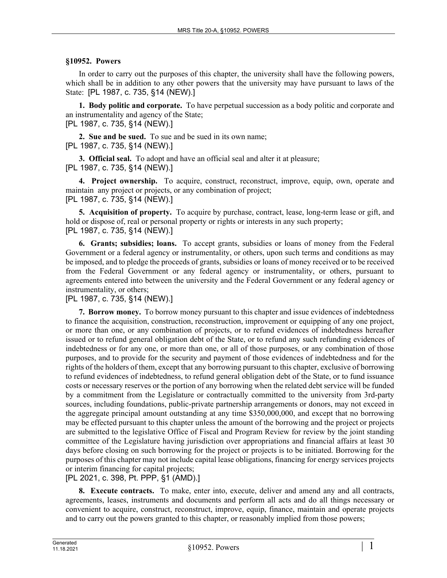## **§10952. Powers**

In order to carry out the purposes of this chapter, the university shall have the following powers, which shall be in addition to any other powers that the university may have pursuant to laws of the State: [PL 1987, c. 735, §14 (NEW).]

**1. Body politic and corporate.** To have perpetual succession as a body politic and corporate and an instrumentality and agency of the State;

[PL 1987, c. 735, §14 (NEW).]

**2. Sue and be sued.** To sue and be sued in its own name; [PL 1987, c. 735, §14 (NEW).]

**3. Official seal.** To adopt and have an official seal and alter it at pleasure; [PL 1987, c. 735, §14 (NEW).]

**4. Project ownership.** To acquire, construct, reconstruct, improve, equip, own, operate and maintain any project or projects, or any combination of project; [PL 1987, c. 735, §14 (NEW).]

**5. Acquisition of property.** To acquire by purchase, contract, lease, long-term lease or gift, and hold or dispose of, real or personal property or rights or interests in any such property; [PL 1987, c. 735, §14 (NEW).]

**6. Grants; subsidies; loans.** To accept grants, subsidies or loans of money from the Federal Government or a federal agency or instrumentality, or others, upon such terms and conditions as may be imposed, and to pledge the proceeds of grants, subsidies or loans of money received or to be received from the Federal Government or any federal agency or instrumentality, or others, pursuant to agreements entered into between the university and the Federal Government or any federal agency or instrumentality, or others;

[PL 1987, c. 735, §14 (NEW).]

**7. Borrow money.** To borrow money pursuant to this chapter and issue evidences of indebtedness to finance the acquisition, construction, reconstruction, improvement or equipping of any one project, or more than one, or any combination of projects, or to refund evidences of indebtedness hereafter issued or to refund general obligation debt of the State, or to refund any such refunding evidences of indebtedness or for any one, or more than one, or all of those purposes, or any combination of those purposes, and to provide for the security and payment of those evidences of indebtedness and for the rights of the holders of them, except that any borrowing pursuant to this chapter, exclusive of borrowing to refund evidences of indebtedness, to refund general obligation debt of the State, or to fund issuance costs or necessary reserves or the portion of any borrowing when the related debt service will be funded by a commitment from the Legislature or contractually committed to the university from 3rd-party sources, including foundations, public-private partnership arrangements or donors, may not exceed in the aggregate principal amount outstanding at any time \$350,000,000, and except that no borrowing may be effected pursuant to this chapter unless the amount of the borrowing and the project or projects are submitted to the legislative Office of Fiscal and Program Review for review by the joint standing committee of the Legislature having jurisdiction over appropriations and financial affairs at least 30 days before closing on such borrowing for the project or projects is to be initiated. Borrowing for the purposes of this chapter may not include capital lease obligations, financing for energy services projects or interim financing for capital projects;

[PL 2021, c. 398, Pt. PPP, §1 (AMD).]

**8. Execute contracts.** To make, enter into, execute, deliver and amend any and all contracts, agreements, leases, instruments and documents and perform all acts and do all things necessary or convenient to acquire, construct, reconstruct, improve, equip, finance, maintain and operate projects and to carry out the powers granted to this chapter, or reasonably implied from those powers;